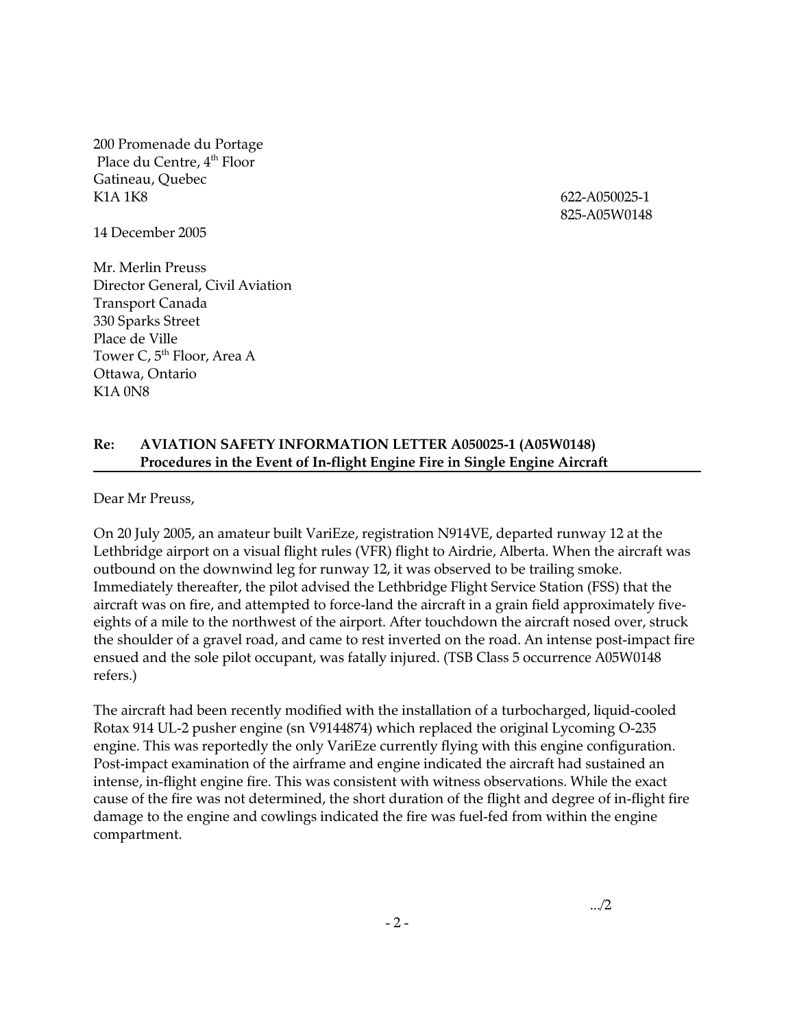200 Promenade du Portage Place du Centre, 4<sup>th</sup> Floor Gatineau, Quebec K1A 1K8 622-A050025-1

14 December 2005

Mr. Merlin Preuss Director General, Civil Aviation Transport Canada 330 Sparks Street Place de Ville Tower C, 5<sup>th</sup> Floor, Area A Ottawa, Ontario K1A 0N8

825-A05W0148

## **Re: AVIATION SAFETY INFORMATION LETTER A050025-1 (A05W0148) Procedures in the Event of In-flight Engine Fire in Single Engine Aircraft**

Dear Mr Preuss,

On 20 July 2005, an amateur built VariEze, registration N914VE, departed runway 12 at the Lethbridge airport on a visual flight rules (VFR) flight to Airdrie, Alberta. When the aircraft was outbound on the downwind leg for runway 12, it was observed to be trailing smoke. Immediately thereafter, the pilot advised the Lethbridge Flight Service Station (FSS) that the aircraft was on fire, and attempted to force-land the aircraft in a grain field approximately fiveeights of a mile to the northwest of the airport. After touchdown the aircraft nosed over, struck the shoulder of a gravel road, and came to rest inverted on the road. An intense post-impact fire ensued and the sole pilot occupant, was fatally injured. (TSB Class 5 occurrence A05W0148 refers.)

The aircraft had been recently modified with the installation of a turbocharged, liquid-cooled Rotax 914 UL-2 pusher engine (sn V9144874) which replaced the original Lycoming O-235 engine. This was reportedly the only VariEze currently flying with this engine configuration. Post-impact examination of the airframe and engine indicated the aircraft had sustained an intense, in-flight engine fire. This was consistent with witness observations. While the exact cause of the fire was not determined, the short duration of the flight and degree of in-flight fire damage to the engine and cowlings indicated the fire was fuel-fed from within the engine compartment.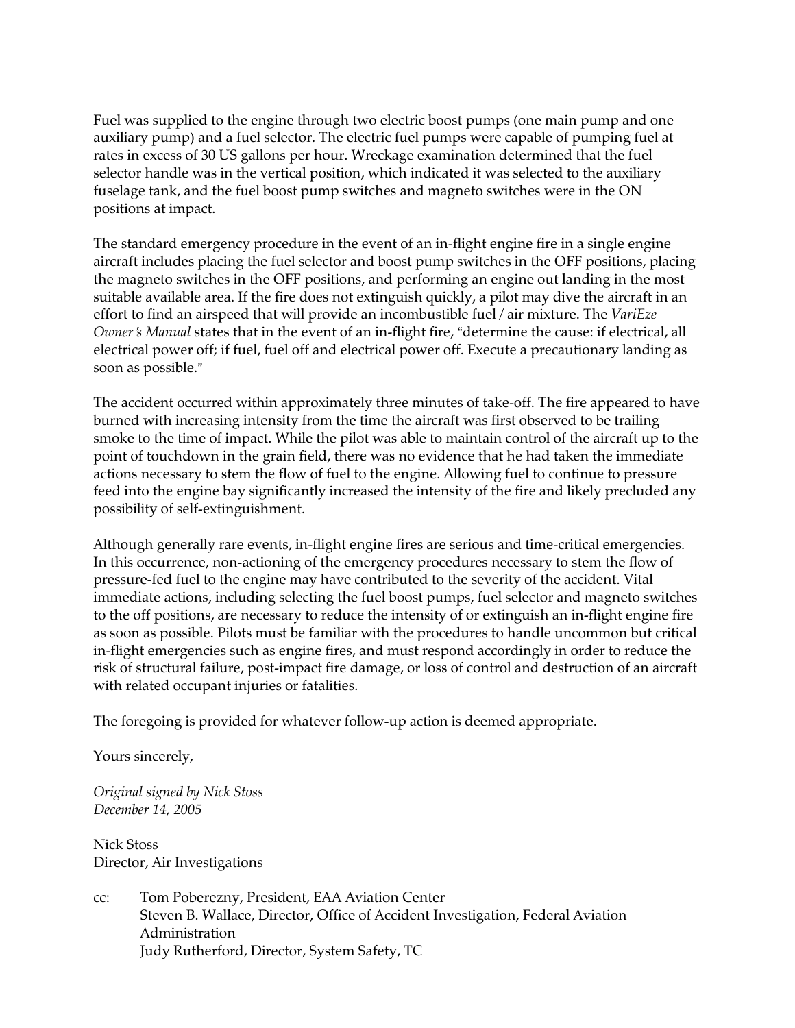Fuel was supplied to the engine through two electric boost pumps (one main pump and one auxiliary pump) and a fuel selector. The electric fuel pumps were capable of pumping fuel at rates in excess of 30 US gallons per hour. Wreckage examination determined that the fuel selector handle was in the vertical position, which indicated it was selected to the auxiliary fuselage tank, and the fuel boost pump switches and magneto switches were in the ON positions at impact.

The standard emergency procedure in the event of an in-flight engine fire in a single engine aircraft includes placing the fuel selector and boost pump switches in the OFF positions, placing the magneto switches in the OFF positions, and performing an engine out landing in the most suitable available area. If the fire does not extinguish quickly, a pilot may dive the aircraft in an effort to find an airspeed that will provide an incombustible fuel / air mixture. The *VariEze Owner's Manual* states that in the event of an in-flight fire, "determine the cause: if electrical, all electrical power off; if fuel, fuel off and electrical power off. Execute a precautionary landing as soon as possible."

The accident occurred within approximately three minutes of take-off. The fire appeared to have burned with increasing intensity from the time the aircraft was first observed to be trailing smoke to the time of impact. While the pilot was able to maintain control of the aircraft up to the point of touchdown in the grain field, there was no evidence that he had taken the immediate actions necessary to stem the flow of fuel to the engine. Allowing fuel to continue to pressure feed into the engine bay significantly increased the intensity of the fire and likely precluded any possibility of self-extinguishment.

Although generally rare events, in-flight engine fires are serious and time-critical emergencies. In this occurrence, non-actioning of the emergency procedures necessary to stem the flow of pressure-fed fuel to the engine may have contributed to the severity of the accident. Vital immediate actions, including selecting the fuel boost pumps, fuel selector and magneto switches to the off positions, are necessary to reduce the intensity of or extinguish an in-flight engine fire as soon as possible. Pilots must be familiar with the procedures to handle uncommon but critical in-flight emergencies such as engine fires, and must respond accordingly in order to reduce the risk of structural failure, post-impact fire damage, or loss of control and destruction of an aircraft with related occupant injuries or fatalities.

The foregoing is provided for whatever follow-up action is deemed appropriate.

Yours sincerely,

*Original signed by Nick Stoss December 14, 2005* 

Nick Stoss Director, Air Investigations

cc: Tom Poberezny, President, EAA Aviation Center Steven B. Wallace, Director, Office of Accident Investigation, Federal Aviation Administration Judy Rutherford, Director, System Safety, TC